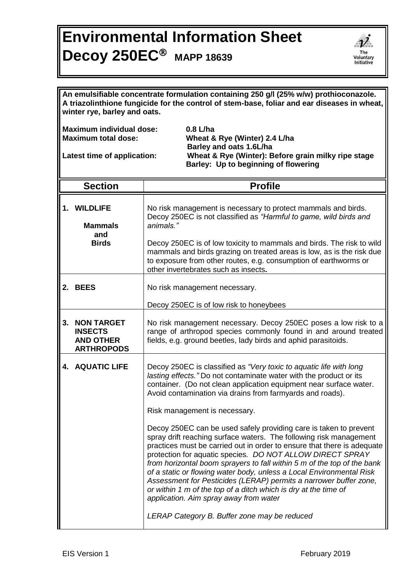## **Environmental Information Sheet Decoy 250EC MAPP <sup>18639</sup>**



| An emulsifiable concentrate formulation containing 250 g/l (25% w/w) prothioconazole.<br>A triazolinthione fungicide for the control of stem-base, foliar and ear diseases in wheat,<br>winter rye, barley and oats.                                                  |                                                                          |                                                                                                                                                                                                                                                                                                                                                                                                                                                                                                                                                                                                                                                                      |  |
|-----------------------------------------------------------------------------------------------------------------------------------------------------------------------------------------------------------------------------------------------------------------------|--------------------------------------------------------------------------|----------------------------------------------------------------------------------------------------------------------------------------------------------------------------------------------------------------------------------------------------------------------------------------------------------------------------------------------------------------------------------------------------------------------------------------------------------------------------------------------------------------------------------------------------------------------------------------------------------------------------------------------------------------------|--|
| <b>Maximum individual dose:</b><br>$0.8$ L/ha<br><b>Maximum total dose:</b><br>Wheat & Rye (Winter) 2.4 L/ha<br>Barley and oats 1.6L/ha<br>Wheat & Rye (Winter): Before grain milky ripe stage<br>Latest time of application:<br>Barley: Up to beginning of flowering |                                                                          |                                                                                                                                                                                                                                                                                                                                                                                                                                                                                                                                                                                                                                                                      |  |
|                                                                                                                                                                                                                                                                       | <b>Section</b>                                                           | <b>Profile</b>                                                                                                                                                                                                                                                                                                                                                                                                                                                                                                                                                                                                                                                       |  |
|                                                                                                                                                                                                                                                                       | 1. WILDLIFE<br><b>Mammals</b><br>and<br><b>Birds</b>                     | No risk management is necessary to protect mammals and birds.<br>Decoy 250EC is not classified as "Harmful to game, wild birds and<br>animals."                                                                                                                                                                                                                                                                                                                                                                                                                                                                                                                      |  |
|                                                                                                                                                                                                                                                                       |                                                                          | Decoy 250EC is of low toxicity to mammals and birds. The risk to wild<br>mammals and birds grazing on treated areas is low, as is the risk due<br>to exposure from other routes, e.g. consumption of earthworms or<br>other invertebrates such as insects.                                                                                                                                                                                                                                                                                                                                                                                                           |  |
|                                                                                                                                                                                                                                                                       | 2. BEES                                                                  | No risk management necessary.                                                                                                                                                                                                                                                                                                                                                                                                                                                                                                                                                                                                                                        |  |
|                                                                                                                                                                                                                                                                       |                                                                          | Decoy 250EC is of low risk to honeybees                                                                                                                                                                                                                                                                                                                                                                                                                                                                                                                                                                                                                              |  |
|                                                                                                                                                                                                                                                                       | 3. NON TARGET<br><b>INSECTS</b><br><b>AND OTHER</b><br><b>ARTHROPODS</b> | No risk management necessary. Decoy 250EC poses a low risk to a<br>range of arthropod species commonly found in and around treated<br>fields, e.g. ground beetles, lady birds and aphid parasitoids.                                                                                                                                                                                                                                                                                                                                                                                                                                                                 |  |
|                                                                                                                                                                                                                                                                       | 4. AQUATIC LIFE                                                          | Decoy 250EC is classified as "Very toxic to aquatic life with long<br>lasting effects." Do not contaminate water with the product or its<br>container. (Do not clean application equipment near surface water.<br>Avoid contamination via drains from farmyards and roads).                                                                                                                                                                                                                                                                                                                                                                                          |  |
|                                                                                                                                                                                                                                                                       |                                                                          | Risk management is necessary.                                                                                                                                                                                                                                                                                                                                                                                                                                                                                                                                                                                                                                        |  |
|                                                                                                                                                                                                                                                                       |                                                                          | Decoy 250EC can be used safely providing care is taken to prevent<br>spray drift reaching surface waters. The following risk management<br>practices must be carried out in order to ensure that there is adequate<br>protection for aquatic species. DO NOT ALLOW DIRECT SPRAY<br>from horizontal boom sprayers to fall within 5 m of the top of the bank<br>of a static or flowing water body, unless a Local Environmental Risk<br>Assessment for Pesticides (LERAP) permits a narrower buffer zone,<br>or within 1 m of the top of a ditch which is dry at the time of<br>application. Aim spray away from water<br>LERAP Category B. Buffer zone may be reduced |  |